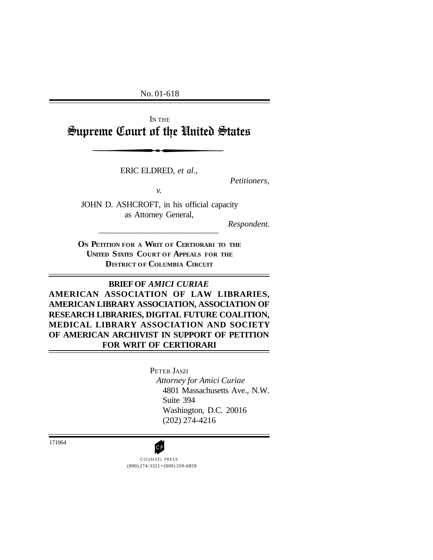No. 01-618

I<sup>N</sup> THE Supreme Court of the United States

ERIC ELDRED, *et al*.,

*Petitioners,*

*v.*

JOHN D. ASHCROFT, in his official capacity as Attorney General,

\_\_\_\_\_\_\_\_\_\_\_\_\_\_\_\_\_\_\_\_\_\_\_\_\_\_\_\_\_\_\_

*Respondent.*

**ON PETITION FOR <sup>A</sup> WRIT OF CERTIORARI TO THE UNITED STATES COURT OF APPEALS FOR THE DISTRICT OF COLUMBIA CIRCUIT**

**BRIEF OF** *AMICI CURIAE* **AMERICAN ASSOCIATION OF LAW LIBRARIES, AMERICAN LIBRARY ASSOCIATION, ASSOCIATION OF RESEARCH LIBRARIES, DIGITAL FUTURE COALITION, MEDICAL LIBRARY ASSOCIATION AND SOCIETY OF AMERICAN ARCHIVIST IN SUPPORT OF PETITION FOR WRIT OF CERTIORARI**

> PETER JASZI *Attorney for Amici Curiae* 4801 Massachusetts Ave., N.W. Suite 394 Washington, D.C. 20016 (202) 274-4216

171064



(800) 274-3321 • (800) 359-6859 COUNSEL PRESS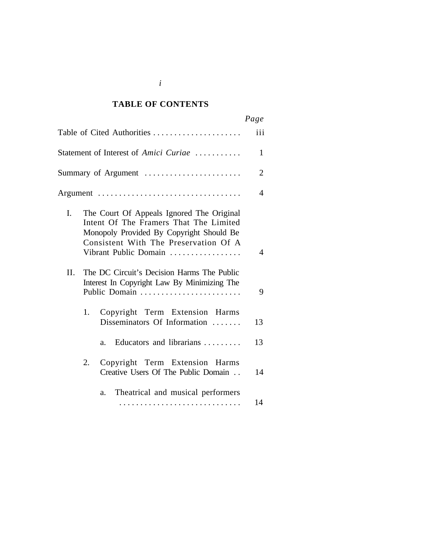### *Cited Authorities* **TABLE OF CONTENTS**

|                                                                                                                                                                                                         | Page           |
|---------------------------------------------------------------------------------------------------------------------------------------------------------------------------------------------------------|----------------|
| Table of Cited Authorities                                                                                                                                                                              | iii            |
| Statement of Interest of Amici Curiae                                                                                                                                                                   | 1              |
| Summary of Argument                                                                                                                                                                                     | $\overline{2}$ |
|                                                                                                                                                                                                         | 4              |
| I.<br>The Court Of Appeals Ignored The Original<br>Intent Of The Framers That The Limited<br>Monopoly Provided By Copyright Should Be<br>Consistent With The Preservation Of A<br>Vibrant Public Domain | 4              |
| II.<br>The DC Circuit's Decision Harms The Public<br>Interest In Copyright Law By Minimizing The<br>Public Domain                                                                                       | 9              |
| 1.<br>Copyright Term Extension Harms<br>Disseminators Of Information                                                                                                                                    | 13             |
| Educators and librarians<br>a.                                                                                                                                                                          | 13             |
| Copyright Term Extension Harms<br>2.<br>Creative Users Of The Public Domain                                                                                                                             | 14             |
| Theatrical and musical performers<br>a.                                                                                                                                                                 | 14             |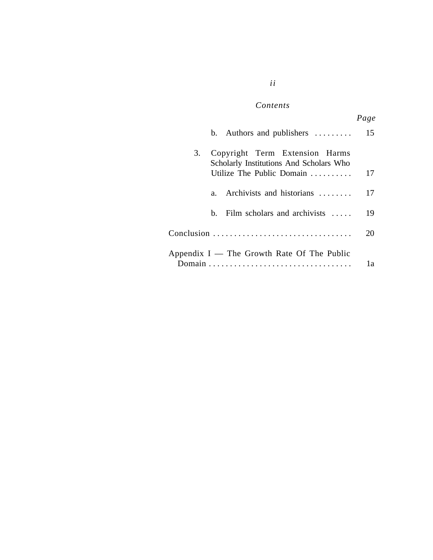### $Contents$

*ii*

|                                                                                 | ι ακε |
|---------------------------------------------------------------------------------|-------|
| b. Authors and publishers $\dots \dots$                                         | 15    |
| Copyright Term Extension Harms<br>3.<br>Scholarly Institutions And Scholars Who |       |
| Utilize The Public Domain                                                       | 17    |
| Archivists and historians<br>$a_{-}$                                            | 17    |
| Film scholars and archivists $\dots$<br>h.                                      | 19    |
|                                                                                 | 20    |
| Appendix $I$ — The Growth Rate Of The Public                                    | 1a    |

*Page*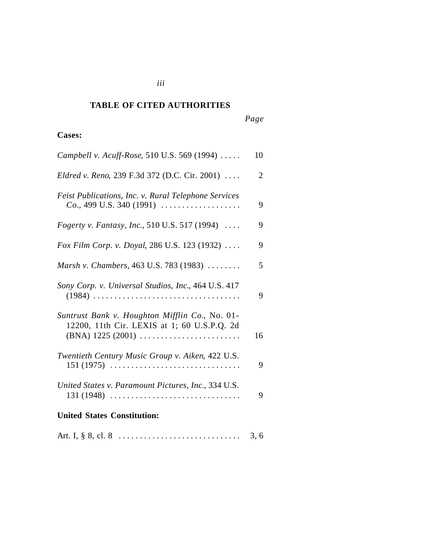### *Cited Authorities* **TABLE OF CITED AUTHORITIES**

# *Page*

### **Cases:**

| <b>United States Constitution:</b>                                                                                   |    |
|----------------------------------------------------------------------------------------------------------------------|----|
| United States v. Paramount Pictures, Inc., 334 U.S.<br>$131 (1948)$                                                  | 9  |
| Twentieth Century Music Group v. Aiken, 422 U.S.<br>$151 (1975)$                                                     | 9  |
| Suntrust Bank v. Houghton Mifflin Co., No. 01-<br>12200, 11th Cir. LEXIS at 1; 60 U.S.P.Q. 2d<br>$(BNA)$ 1225 (2001) | 16 |
| Sony Corp. v. Universal Studios, Inc., 464 U.S. 417                                                                  | 9  |
| Marsh v. Chambers, 463 U.S. 783 (1983)                                                                               | 5  |
| Fox Film Corp. v. Doyal, 286 U.S. 123 (1932)                                                                         | 9  |
| <i>Fogerty v. Fantasy, Inc., 510 U.S. 517 (1994) </i>                                                                | 9  |
| Feist Publications, Inc. v. Rural Telephone Services<br>$Co., 499$ U.S. 340 (1991)                                   | 9  |
| Eldred v. Reno, 239 F.3d 372 (D.C. Cir. 2001)                                                                        | 2  |
| Campbell v. Acuff-Rose, 510 U.S. 569 (1994)                                                                          | 10 |

*iii*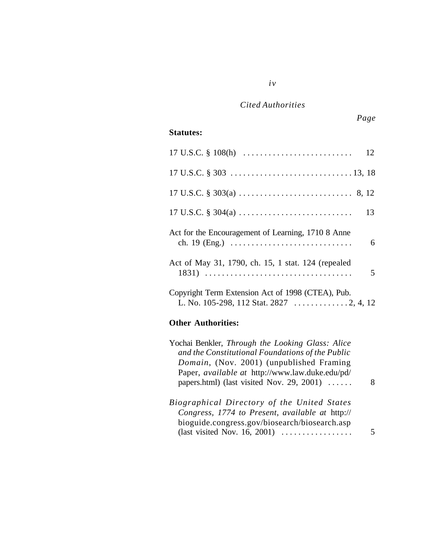*iv*

## **Statutes:**

|                                                    | 12 |
|----------------------------------------------------|----|
|                                                    |    |
|                                                    |    |
|                                                    | 13 |
| Act for the Encouragement of Learning, 1710 8 Anne | 6  |
| Act of May 31, 1790, ch. 15, 1 stat. 124 (repealed | 5  |
| Copyright Term Extension Act of 1998 (CTEA), Pub.  |    |

### **Other Authorities:**

| Yochai Benkler, Through the Looking Glass: Alice<br>and the Constitutional Foundations of the Public<br>Domain, (Nov. 2001) (unpublished Framing<br>Paper, <i>available at http://www.law.duke.edu/pd/</i><br>papers.html) (last visited Nov. 29, 2001) $\dots$ |  |
|-----------------------------------------------------------------------------------------------------------------------------------------------------------------------------------------------------------------------------------------------------------------|--|
| Biographical Directory of the United States                                                                                                                                                                                                                     |  |
| Congress, 1774 to Present, available at http://                                                                                                                                                                                                                 |  |
| bioguide.congress.gov/biosearch/biosearch.asp                                                                                                                                                                                                                   |  |
| (last visited Nov. 16, 2001) $\ldots$                                                                                                                                                                                                                           |  |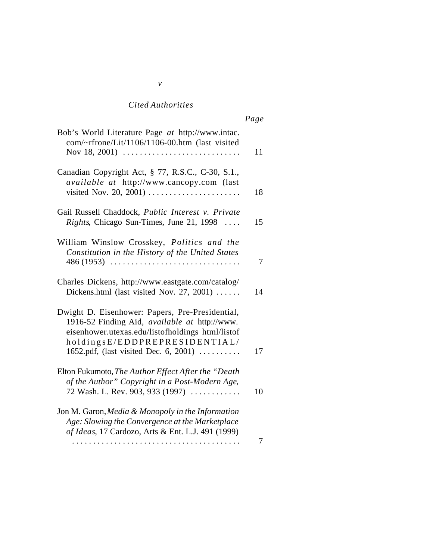|                                                                                                                                                                                                                                | rage |
|--------------------------------------------------------------------------------------------------------------------------------------------------------------------------------------------------------------------------------|------|
| Bob's World Literature Page at http://www.intac.<br>com/~rfrone/Lit/1106/1106-00.htm (last visited<br>Nov 18, 2001) $\ldots \ldots \ldots \ldots \ldots \ldots \ldots \ldots \ldots$                                           | 11   |
| Canadian Copyright Act, § 77, R.S.C., C-30, S.1.,<br>available at http://www.cancopy.com (last<br>visited Nov. 20, 2001)                                                                                                       | 18   |
| Gail Russell Chaddock, Public Interest v. Private<br><i>Rights</i> , Chicago Sun-Times, June 21, 1998                                                                                                                          | 15   |
| William Winslow Crosskey, Politics and the<br>Constitution in the History of the United States<br>$486(1953)$<br>.                                                                                                             | 7    |
| Charles Dickens, http://www.eastgate.com/catalog/<br>Dickens.html (last visited Nov. 27, 2001) $\dots$                                                                                                                         | 14   |
| Dwight D. Eisenhower: Papers, Pre-Presidential,<br>1916-52 Finding Aid, available at http://www.<br>eisenhower.utexas.edu/listofholdings html/listof<br>holdingsE/EDDPREPRESIDENTIAL/<br>1652.pdf, (last visited Dec. 6, 2001) | 17   |
| Elton Fukumoto, The Author Effect After the "Death<br>of the Author" Copyright in a Post-Modern Age,<br>72 Wash. L. Rev. 903, 933 (1997) $\ldots$                                                                              | 10   |
| Jon M. Garon, Media & Monopoly in the Information<br>Age: Slowing the Convergence at the Marketplace<br>of Ideas, 17 Cardozo, Arts & Ent. L.J. 491 (1999)                                                                      | 7    |
|                                                                                                                                                                                                                                |      |

#### *v*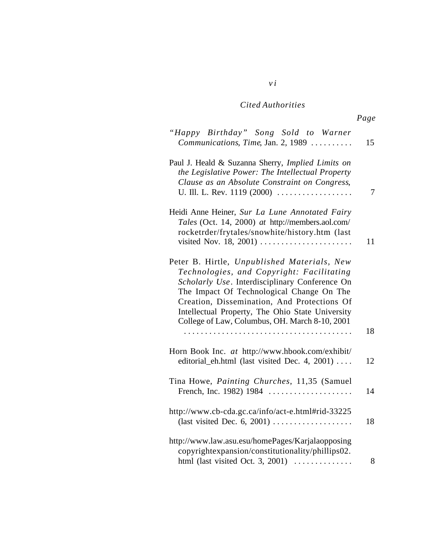*v i*

| "Happy Birthday" Song Sold to Warner<br>Communications, Time, Jan. 2, 1989                                                                                                                                                                                                                                                                             | 15             |
|--------------------------------------------------------------------------------------------------------------------------------------------------------------------------------------------------------------------------------------------------------------------------------------------------------------------------------------------------------|----------------|
| Paul J. Heald & Suzanna Sherry, Implied Limits on<br>the Legislative Power: The Intellectual Property<br>Clause as an Absolute Constraint on Congress,<br>U. Ill. L. Rev. 1119 (2000)                                                                                                                                                                  | $\overline{7}$ |
| Heidi Anne Heiner, Sur La Lune Annotated Fairy<br>Tales (Oct. 14, 2000) at http://members.aol.com/<br>rocketrder/frytales/snowhite/history.htm (last<br>visited Nov. 18, 2001) $\dots \dots \dots \dots \dots \dots \dots$                                                                                                                             | 11             |
| Peter B. Hirtle, Unpublished Materials, New<br>Technologies, and Copyright: Facilitating<br>Scholarly Use. Interdisciplinary Conference On<br>The Impact Of Technological Change On The<br>Creation, Dissemination, And Protections Of<br>Intellectual Property, The Ohio State University<br>College of Law, Columbus, OH. March 8-10, 2001<br>.<br>. | 18             |
| Horn Book Inc. at http://www.hbook.com/exhibit/<br>editorial_eh.html (last visited Dec. 4, 2001)                                                                                                                                                                                                                                                       | 12             |
| Tina Howe, Painting Churches, 11,35 (Samuel<br>French, Inc. 1982) 1984                                                                                                                                                                                                                                                                                 | 14             |
| http://www.cb-cda.gc.ca/info/act-e.html#rid-33225<br>(last visited Dec. 6, 2001) $\dots \dots \dots \dots \dots$                                                                                                                                                                                                                                       | 18             |
| http://www.law.asu.esu/homePages/Karjalaopposing<br>copyrightexpansion/constitutionality/phillips02.<br>html (last visited Oct. 3, 2001) $\ldots$                                                                                                                                                                                                      | 8              |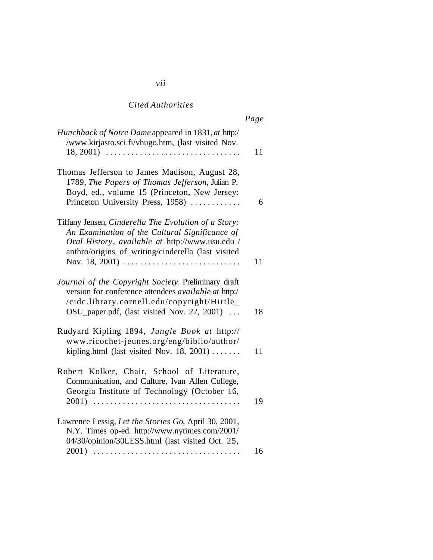|                                                                                                                                                                                                                                                                                                    | rage |
|----------------------------------------------------------------------------------------------------------------------------------------------------------------------------------------------------------------------------------------------------------------------------------------------------|------|
| Hunchback of Notre Dame appeared in 1831, at http:/<br>/www.kirjasto.sci.fi/vhugo.htm, (last visited Nov.                                                                                                                                                                                          | 11   |
| Thomas Jefferson to James Madison, August 28,<br>1789, The Papers of Thomas Jefferson, Julian P.<br>Boyd, ed., volume 15 (Princeton, New Jersey:<br>Princeton University Press, 1958)                                                                                                              | 6    |
| Tiffany Jensen, Cinderella The Evolution of a Story:<br>An Examination of the Cultural Significance of<br>Oral History, available at http://www.usu.edu /<br>anthro/origins_of_writing/cinderella (last visited<br>Nov. 18, 2001) $\ldots \ldots \ldots \ldots \ldots \ldots \ldots \ldots \ldots$ | 11   |
| Journal of the Copyright Society. Preliminary draft<br>version for conference attendees <i>available at</i> http:/<br>/cidc.library.cornell.edu/copyright/Hirtle_<br>OSU_paper.pdf, (last visited Nov. 22, 2001)                                                                                   | 18   |
| Rudyard Kipling 1894, Jungle Book at http://<br>www.ricochet-jeunes.org/eng/biblio/author/<br>kipling.html (last visited Nov. 18, 2001) $\dots \dots$                                                                                                                                              | 11   |
| Robert Kolker, Chair, School of Literature,<br>Communication, and Culture, Ivan Allen College,<br>Georgia Institute of Technology (October 16,                                                                                                                                                     | 19   |
| Lawrence Lessig, Let the Stories Go, April 30, 2001,<br>N.Y. Times op-ed. http://www.nytimes.com/2001/<br>04/30/opinion/30LESS.html (last visited Oct. 25,                                                                                                                                         | 16   |
|                                                                                                                                                                                                                                                                                                    |      |

# $\overline{P}_C$

*vii*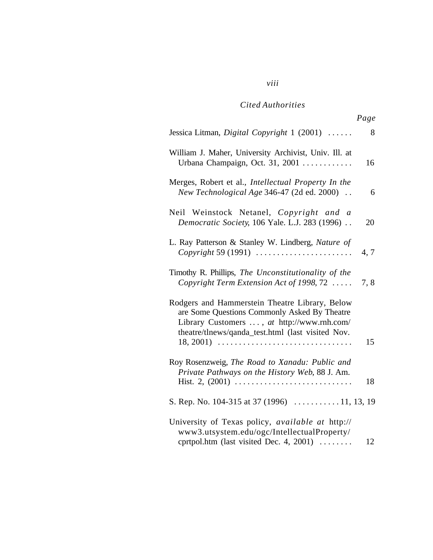# *viii*

## *Cited Authorities*

|                                                                                                                                                                                                                  | Page |
|------------------------------------------------------------------------------------------------------------------------------------------------------------------------------------------------------------------|------|
| Jessica Litman, Digital Copyright 1 (2001)                                                                                                                                                                       | 8    |
| William J. Maher, University Archivist, Univ. Ill. at<br>Urbana Champaign, Oct. 31, 2001                                                                                                                         | 16   |
| Merges, Robert et al., Intellectual Property In the<br>New Technological Age 346-47 (2d ed. 2000).                                                                                                               | 6    |
| Neil Weinstock Netanel, Copyright and a<br>Democratic Society, 106 Yale. L.J. 283 (1996)                                                                                                                         | 20   |
| L. Ray Patterson & Stanley W. Lindberg, Nature of<br>Copyright 59 (1991) $\ldots$                                                                                                                                | 4, 7 |
| Timothy R. Phillips, The Unconstitutionality of the<br>Copyright Term Extension Act of 1998, 72                                                                                                                  | 7,8  |
| Rodgers and Hammerstein Theatre Library, Below<br>are Some Questions Commonly Asked By Theatre<br>Library Customers , at http://www.rnh.com/<br>theatre/tlnews/qanda_test.html (last visited Nov.<br>$18, 2001)$ | 15   |
| Roy Rosenzweig, The Road to Xanadu: Public and<br>Private Pathways on the History Web, 88 J. Am.                                                                                                                 | 18   |
| S. Rep. No. 104-315 at 37 (1996) $\ldots$ 11, 13, 19                                                                                                                                                             |      |
| University of Texas policy, available at http://<br>www3.utsystem.edu/ogc/IntellectualProperty/<br>cprtpol.htm (last visited Dec. 4, 2001)                                                                       | 12   |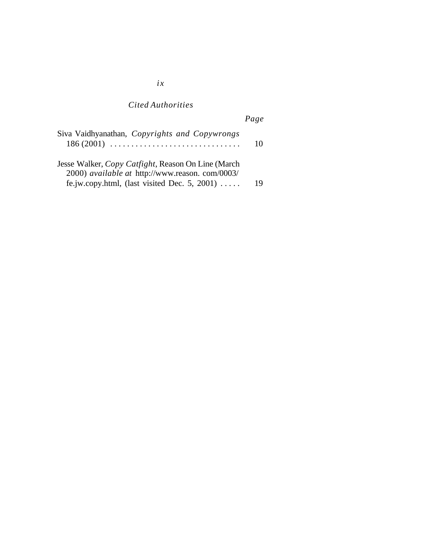# *Page*

| Siva Vaidhyanathan, Copyrights and Copywrongs<br>$186(2001)$                                         | $\mathbf{I}(\mathbf{I})$ |
|------------------------------------------------------------------------------------------------------|--------------------------|
| Jesse Walker, Copy Catfight, Reason On Line (March<br>2000) available at http://www.reason.com/0003/ |                          |
| fe.jw.copy.html, (last visited Dec. 5, 2001) $\dots$ .                                               | 19                       |

*ix*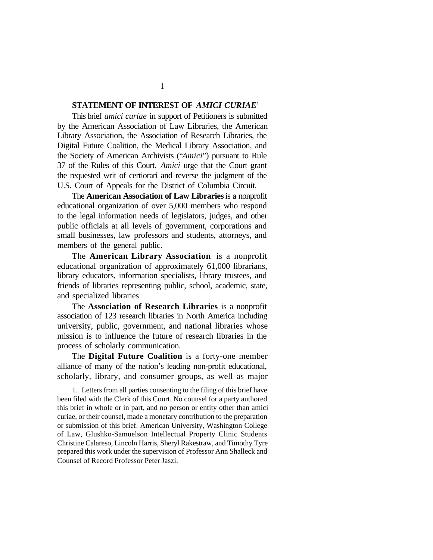#### **STATEMENT OF INTEREST OF** *AMICI CURIAE*<sup>1</sup>

This brief *amici curiae* in support of Petitioners is submitted by the American Association of Law Libraries, the American Library Association, the Association of Research Libraries, the Digital Future Coalition, the Medical Library Association, and the Society of American Archivists ("*Amici*") pursuant to Rule 37 of the Rules of this Court. *Amici* urge that the Court grant the requested writ of certiorari and reverse the judgment of the U.S. Court of Appeals for the District of Columbia Circuit.

The **American Association of Law Libraries** is a nonprofit educational organization of over 5,000 members who respond to the legal information needs of legislators, judges, and other public officials at all levels of government, corporations and small businesses, law professors and students, attorneys, and members of the general public.

The **American Library Association** is a nonprofit educational organization of approximately 61,000 librarians, library educators, information specialists, library trustees, and friends of libraries representing public, school, academic, state, and specialized libraries

The **Association of Research Libraries** is a nonprofit association of 123 research libraries in North America including university, public, government, and national libraries whose mission is to influence the future of research libraries in the process of scholarly communication.

The **Digital Future Coalition** is a forty-one member alliance of many of the nation's leading non-profit educational, scholarly, library, and consumer groups, as well as major

1

<sup>1.</sup> Letters from all parties consenting to the filing of this brief have been filed with the Clerk of this Court. No counsel for a party authored this brief in whole or in part, and no person or entity other than amici curiae, or their counsel, made a monetary contribution to the preparation or submission of this brief. American University, Washington College of Law, Glushko-Samuelson Intellectual Property Clinic Students Christine Calareso, Lincoln Harris, Sheryl Rakestraw, and Timothy Tyre prepared this work under the supervision of Professor Ann Shalleck and Counsel of Record Professor Peter Jaszi.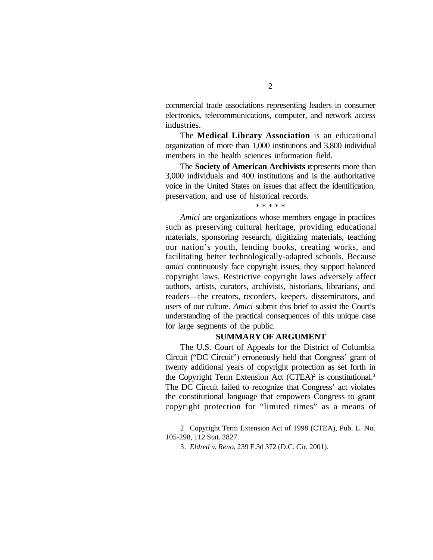commercial trade associations representing leaders in consumer electronics, telecommunications, computer, and network access industries.

The **Medical Library Association** is an educational organization of more than 1,000 institutions and 3,800 individual members in the health sciences information field.

The **Society of American Archivists r**epresents more than 3,000 individuals and 400 institutions and is the authoritative voice in the United States on issues that affect the identification, preservation, and use of historical records.

\* \* \* \* \*

*Amici* are organizations whose members engage in practices such as preserving cultural heritage, providing educational materials, sponsoring research, digitizing materials, teaching our nation's youth, lending books, creating works, and facilitating better technologically-adapted schools. Because *amici* continuously face copyright issues, they support balanced copyright laws. Restrictive copyright laws adversely affect authors, artists, curators, archivists, historians, librarians, and readers—the creators, recorders, keepers, disseminators, and users of our culture. *Amici* submit this brief to assist the Court's understanding of the practical consequences of this unique case for large segments of the public.

#### **SUMMARY OF ARGUMENT**

The U.S. Court of Appeals for the District of Columbia Circuit ("DC Circuit") erroneously held that Congress' grant of twenty additional years of copyright protection as set forth in the Copyright Term Extension Act (CTEA)<sup>2</sup> is constitutional.<sup>3</sup> The DC Circuit failed to recognize that Congress' act violates the constitutional language that empowers Congress to grant copyright protection for "limited times" as a means of

<sup>2.</sup> Copyright Term Extension Act of 1998 (CTEA), Pub. L. No. 105-298, 112 Stat. 2827.

<sup>3.</sup> *Eldred v. Reno*, 239 F.3d 372 (D.C. Cir. 2001).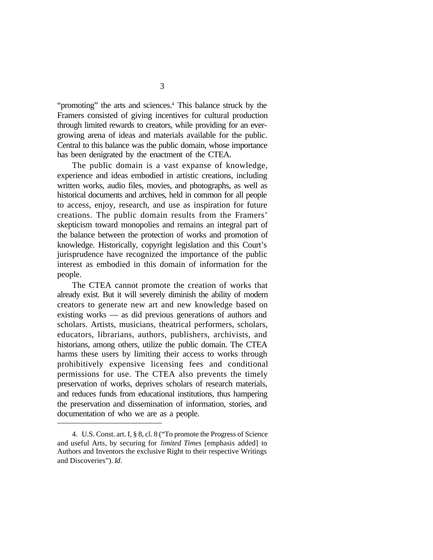"promoting" the arts and sciences.<sup>4</sup> This balance struck by the Framers consisted of giving incentives for cultural production through limited rewards to creators, while providing for an evergrowing arena of ideas and materials available for the public. Central to this balance was the public domain, whose importance has been denigrated by the enactment of the CTEA.

The public domain is a vast expanse of knowledge, experience and ideas embodied in artistic creations, including written works, audio files, movies, and photographs, as well as historical documents and archives, held in common for all people to access, enjoy, research, and use as inspiration for future creations. The public domain results from the Framers' skepticism toward monopolies and remains an integral part of the balance between the protection of works and promotion of knowledge. Historically, copyright legislation and this Court's jurisprudence have recognized the importance of the public interest as embodied in this domain of information for the people.

The CTEA cannot promote the creation of works that already exist. But it will severely diminish the ability of modern creators to generate new art and new knowledge based on existing works — as did previous generations of authors and scholars. Artists, musicians, theatrical performers, scholars, educators, librarians, authors, publishers, archivists, and historians, among others, utilize the public domain. The CTEA harms these users by limiting their access to works through prohibitively expensive licensing fees and conditional permissions for use. The CTEA also prevents the timely preservation of works, deprives scholars of research materials, and reduces funds from educational institutions, thus hampering the preservation and dissemination of information, stories, and documentation of who we are as a people.

<sup>4.</sup> U.S. Const. art. I, § 8, cl. 8 ("To promote the Progress of Science and useful Arts, by securing for *limited Times* [emphasis added] to Authors and Inventors the exclusive Right to their respective Writings and Discoveries"). *Id*.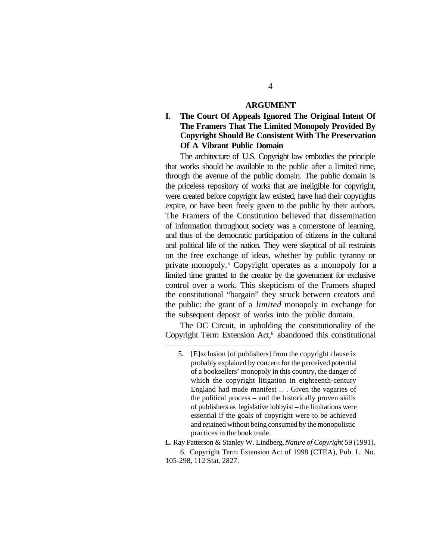#### **ARGUMENT**

**I. The Court Of Appeals Ignored The Original Intent Of The Framers That The Limited Monopoly Provided By Copyright Should Be Consistent With The Preservation Of A Vibrant Public Domain**

The architecture of U.S. Copyright law embodies the principle that works should be available to the public after a limited time, through the avenue of the public domain. The public domain is the priceless repository of works that are ineligible for copyright, were created before copyright law existed, have had their copyrights expire, or have been freely given to the public by their authors. The Framers of the Constitution believed that dissemination of information throughout society was a cornerstone of learning, and thus of the democratic participation of citizens in the cultural and political life of the nation. They were skeptical of all restraints on the free exchange of ideas, whether by public tyranny or private monopoly.<sup>5</sup> Copyright operates as a monopoly for a limited time granted to the creator by the government for exclusive control over a work. This skepticism of the Framers shaped the constitutional "bargain" they struck between creators and the public: the grant of a *limited* monopoly in exchange for the subsequent deposit of works into the public domain.

The DC Circuit, in upholding the constitutionality of the Copyright Term Extension Act,<sup>6</sup> abandoned this constitutional

<sup>5.</sup> [E]xclusion [of publishers] from the copyright clause is probably explained by concern for the perceived potential of a booksellers' monopoly in this country, the danger of which the copyright litigation in eighteenth-century England had made manifest . . . Given the vagaries of the political process – and the historically proven skills of publishers as legislative lobbyist – the limitations were essential if the goals of copyright were to be achieved and retained without being consumed by the monopolistic practices in the book trade.

L. Ray Patterson & Stanley W. Lindberg, *Nature of Copyright* 59 (1991). 6. Copyright Term Extension Act of 1998 (CTEA), Pub. L. No. 105-298, 112 Stat. 2827.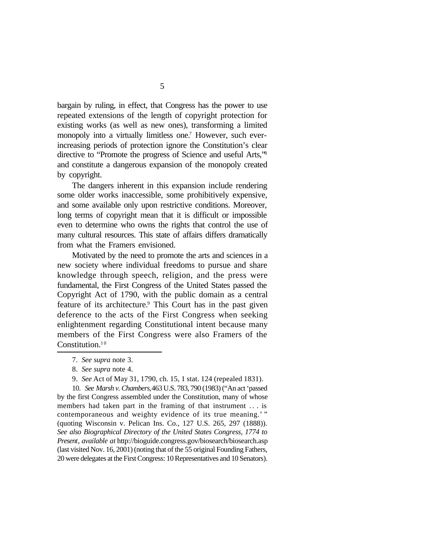bargain by ruling, in effect, that Congress has the power to use repeated extensions of the length of copyright protection for existing works (as well as new ones), transforming a limited monopoly into a virtually limitless one.<sup>7</sup> However, such everincreasing periods of protection ignore the Constitution's clear directive to "Promote the progress of Science and useful Arts,"<sup>8</sup> and constitute a dangerous expansion of the monopoly created by copyright.

The dangers inherent in this expansion include rendering some older works inaccessible, some prohibitively expensive, and some available only upon restrictive conditions. Moreover, long terms of copyright mean that it is difficult or impossible even to determine who owns the rights that control the use of many cultural resources. This state of affairs differs dramatically from what the Framers envisioned.

Motivated by the need to promote the arts and sciences in a new society where individual freedoms to pursue and share knowledge through speech, religion, and the press were fundamental, the First Congress of the United States passed the Copyright Act of 1790, with the public domain as a central feature of its architecture.<sup>9</sup> This Court has in the past given deference to the acts of the First Congress when seeking enlightenment regarding Constitutional intent because many members of the First Congress were also Framers of the Constitution.<sup>10</sup>

9. *See* Act of May 31, 1790, ch. 15, 1 stat. 124 (repealed 1831).

10. *See Marsh v. Chambers,* 463 U.S. 783, 790 (1983) ("An act 'passed by the first Congress assembled under the Constitution, many of whose members had taken part in the framing of that instrument . . . is contemporaneous and weighty evidence of its true meaning.'" (quoting Wisconsin v. Pelican Ins. Co., 127 U.S. 265, 297 (1888)). *See also Biographical Directory of the United States Congress, 1774 to Present*, *available at* http://bioguide.congress.gov/biosearch/biosearch.asp (last visited Nov. 16, 2001) (noting that of the 55 original Founding Fathers, 20 were delegates at the First Congress: 10 Representatives and 10 Senators).

<sup>7.</sup> *See supra* note 3.

<sup>8.</sup> *See supra* note 4.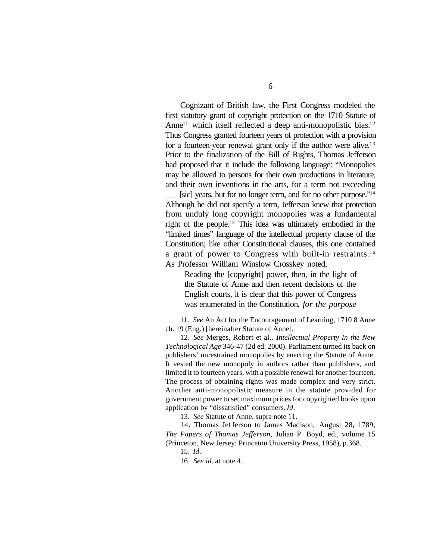Cognizant of British law, the First Congress modeled the first statutory grant of copyright protection on the 1710 Statute of Anne<sup>11</sup> which itself reflected a deep anti-monopolistic bias.<sup>12</sup> Thus Congress granted fourteen years of protection with a provision for a fourteen-year renewal grant only if the author were alive.<sup>13</sup> Prior to the finalization of the Bill of Rights, Thomas Jefferson had proposed that it include the following language: "Monopolies may be allowed to persons for their own productions in literature, and their own inventions in the arts, for a term not exceeding

[sic] years, but for no longer term, and for no other purpose."<sup>14</sup> Although he did not specify a term, Jefferson knew that protection from unduly long copyright monopolies was a fundamental right of the people.<sup>15</sup> This idea was ultimately embodied in the "limited times" language of the intellectual property clause of the Constitution; like other Constitutional clauses, this one contained a grant of power to Congress with built-in restraints.<sup>16</sup> As Professor William Winslow Crosskey noted,

Reading the [copyright] power, then, in the light of the Statute of Anne and then recent decisions of the English courts, it is clear that this power of Congress was enumerated in the Constitution, *for the purpose*

11. *See* An Act for the Encouragement of Learning, 1710 8 Anne ch. 19 (Eng.) [hereinafter Statute of Anne].

12. *See* Merges, Robert et al., *Intellectual Property In the New Technological Age* 346-47 (2d ed. 2000). Parliament turned its back on publishers' unrestrained monopolies by enacting the Statute of Anne. It vested the new monopoly in authors rather than publishers, and limited it to fourteen years, with a possible renewal for another fourteen. The process of obtaining rights was made complex and very strict. Another anti-monopolistic measure in the statute provided for government power to set maximum prices for copyrighted books upon application by "dissatisfied" consumers. *Id*.

13. *See* Statute of Anne, supra note 11.

14. Thomas Jefferson to James Madison, August 28, 1789, *The Papers of Thomas Jefferson*, Julian P. Boyd, ed., volume 15 (Princeton, New Jersey: Princeton University Press, 1958), p.368.

15. *Id*.

16. *See id*. at note 4.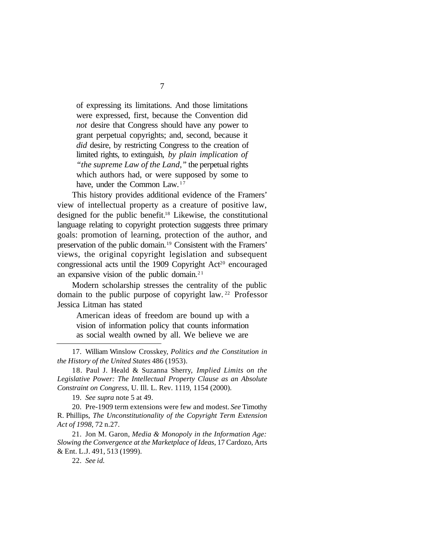of expressing its limitations. And those limitations were expressed, first, because the Convention did *not* desire that Congress should have any power to grant perpetual copyrights; and, second, because it *did* desire, by restricting Congress to the creation of limited rights, to extinguish, *by plain implication of "the supreme Law of the Land,"* the perpetual rights which authors had, or were supposed by some to have, under the Common Law.<sup>17</sup>

This history provides additional evidence of the Framers' view of intellectual property as a creature of positive law, designed for the public benefit.18 Likewise, the constitutional language relating to copyright protection suggests three primary goals: promotion of learning, protection of the author, and preservation of the public domain.19 Consistent with the Framers' views, the original copyright legislation and subsequent congressional acts until the 1909 Copyright  $Act<sup>20</sup>$  encouraged an expansive vision of the public domain.<sup>21</sup>

Modern scholarship stresses the centrality of the public domain to the public purpose of copyright law. <sup>22</sup> Professor Jessica Litman has stated

American ideas of freedom are bound up with a vision of information policy that counts information as social wealth owned by all. We believe we are

17. William Winslow Crosskey, *Politics and the Constitution in the History of the United States* 486 (1953).

18. Paul J. Heald & Suzanna Sherry, *Implied Limits on the Legislative Power: The Intellectual Property Clause as an Absolute Constraint on Congress*, U. Ill. L. Rev. 1119, 1154 (2000).

19. *See supra* note 5 at 49.

20. Pre-1909 term extensions were few and modest. *See* Timothy R. Phillips, *The Unconstitutionality of the Copyright Term Extension Act of 1998*, 72 n.27.

21. Jon M. Garon, *Media & Monopoly in the Information Age: Slowing the Convergence at the Marketplace of Ideas*, 17 Cardozo, Arts & Ent. L.J. 491, 513 (1999).

22. *See id.*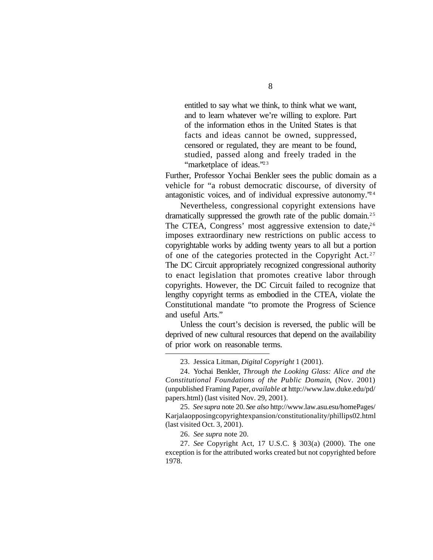entitled to say what we think, to think what we want, and to learn whatever we're willing to explore. Part of the information ethos in the United States is that facts and ideas cannot be owned, suppressed, censored or regulated, they are meant to be found, studied, passed along and freely traded in the "marketplace of ideas."<sup>23</sup>

Further, Professor Yochai Benkler sees the public domain as a vehicle for "a robust democratic discourse, of diversity of antagonistic voices, and of individual expressive autonomy.<sup> $24$ </sup>

Nevertheless, congressional copyright extensions have dramatically suppressed the growth rate of the public domain.<sup>25</sup> The CTEA, Congress' most aggressive extension to date,  $26$ imposes extraordinary new restrictions on public access to copyrightable works by adding twenty years to all but a portion of one of the categories protected in the Copyright Act.<sup>27</sup> The DC Circuit appropriately recognized congressional authority to enact legislation that promotes creative labor through copyrights. However, the DC Circuit failed to recognize that lengthy copyright terms as embodied in the CTEA, violate the Constitutional mandate "to promote the Progress of Science and useful Arts."

Unless the court's decision is reversed, the public will be deprived of new cultural resources that depend on the availability of prior work on reasonable terms.

25. *See supra* note 20. *See also* http://www.law.asu.esu/homePages/ Karjalaopposingcopyrightexpansion/constitutionality/phillips02.html (last visited Oct. 3, 2001).

26. *See supra* note 20.

27. *See* Copyright Act, 17 U.S.C. § 303(a) (2000). The one exception is for the attributed works created but not copyrighted before 1978.

<sup>23.</sup> Jessica Litman, *Digital Copyright* 1 (2001).

<sup>24.</sup> Yochai Benkler, *Through the Looking Glass: Alice and the Constitutional Foundations of the Public Domain*, (Nov. 2001) (unpublished Framing Paper, *available at* http://www.law.duke.edu/pd/ papers.html) (last visited Nov. 29, 2001).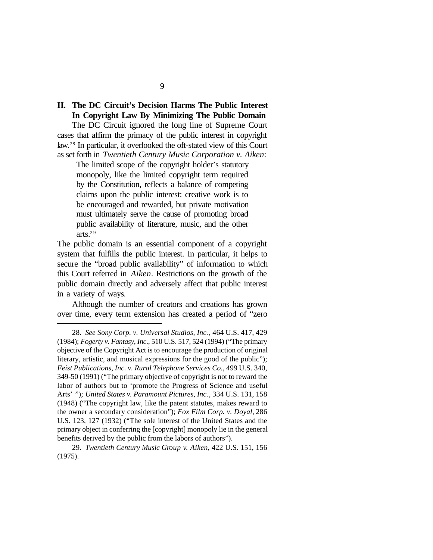## **II. The DC Circuit's Decision Harms The Public Interest In Copyright Law By Minimizing The Public Domain**

The DC Circuit ignored the long line of Supreme Court cases that affirm the primacy of the public interest in copyright law.28 In particular, it overlooked the oft-stated view of this Court as set forth in *Twentieth Century Music Corporation v. Aiken*:

The limited scope of the copyright holder's statutory monopoly, like the limited copyright term required by the Constitution, reflects a balance of competing claims upon the public interest: creative work is to be encouraged and rewarded, but private motivation must ultimately serve the cause of promoting broad public availability of literature, music, and the other arts. $29$ 

The public domain is an essential component of a copyright system that fulfills the public interest. In particular, it helps to secure the "broad public availability" of information to which this Court referred in *Aiken*. Restrictions on the growth of the public domain directly and adversely affect that public interest in a variety of ways.

Although the number of creators and creations has grown over time, every term extension has created a period of "zero

9

<sup>28.</sup> *See Sony Corp. v. Universal Studios, Inc.*, 464 U.S. 417, 429 (1984); *Fogerty v. Fantasy, Inc*., 510 U.S. 517, 524 (1994) ("The primary objective of the Copyright Act is to encourage the production of original literary, artistic, and musical expressions for the good of the public"); *Feist Publications, Inc. v. Rural Telephone Services Co.*, 499 U.S. 340, 349-50 (1991) ("The primary objective of copyright is not to reward the labor of authors but to 'promote the Progress of Science and useful Arts' "); *United States v. Paramount Pictures, Inc.*, 334 U.S. 131, 158 (1948) ("The copyright law, like the patent statutes, makes reward to the owner a secondary consideration"); *Fox Film Corp. v. Doyal*, 286 U.S. 123, 127 (1932) ("The sole interest of the United States and the primary object in conferring the [copyright] monopoly lie in the general benefits derived by the public from the labors of authors").

<sup>29.</sup> *Twentieth Century Music Group v. Aiken*, 422 U.S. 151, 156 (1975).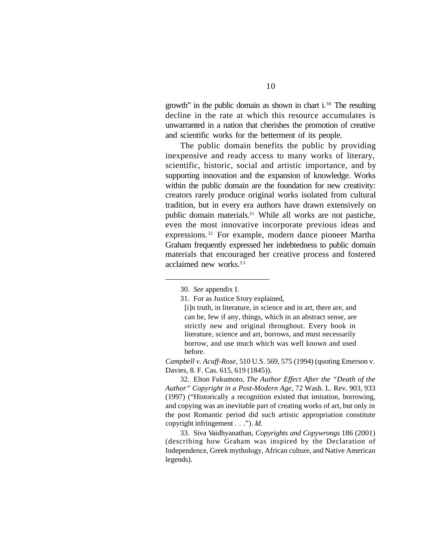growth" in the public domain as shown in chart i.30 The resulting decline in the rate at which this resource accumulates is unwarranted in a nation that cherishes the promotion of creative and scientific works for the betterment of its people.

The public domain benefits the public by providing inexpensive and ready access to many works of literary, scientific, historic, social and artistic importance, and by supporting innovation and the expansion of knowledge. Works within the public domain are the foundation for new creativity: creators rarely produce original works isolated from cultural tradition, but in every era authors have drawn extensively on public domain materials.31 While all works are not pastiche, even the most innovative incorporate previous ideas and expressions.32 For example, modern dance pioneer Martha Graham frequently expressed her indebtedness to public domain materials that encouraged her creative process and fostered acclaimed new works.<sup>33</sup>

*Campbell v. Acuff-Rose*, 510 U.S. 569, 575 (1994) (quoting Emerson v. Davies, 8. F. Cas. 615, 619 (1845)).

32. Elton Fukumoto, *The Author Effect After the "Death of the Author" Copyright in a Post-Modern Age*, 72 Wash. L. Rev. 903, 933 (1997) ("Historically a recognition existed that imitation, borrowing, and copying was an inevitable part of creating works of art, but only in the post Romantic period did such artistic appropriation constitute copyright infringement . . ."). *Id*.

33. Siva Vaidhyanathan, *Copyrights and Copywrongs* 186 (2001) (describing how Graham was inspired by the Declaration of Independence, Greek mythology, African culture, and Native American legends).

<sup>30.</sup> *See* appendix I.

<sup>31.</sup> For as Justice Story explained,

<sup>[</sup>i]n truth, in literature, in science and in art, there are, and can be, few if any, things, which in an abstract sense, are strictly new and original throughout. Every book in literature, science and art, borrows, and must necessarily borrow, and use much which was well known and used before.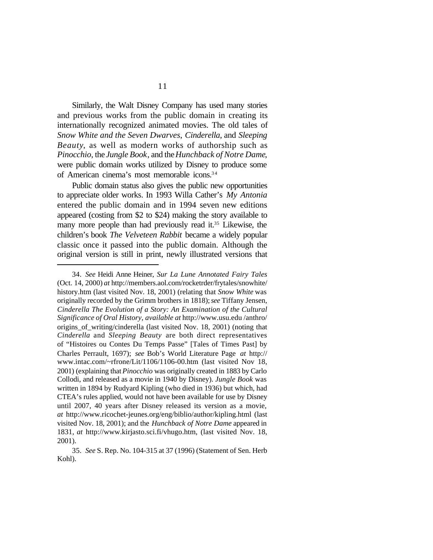Similarly, the Walt Disney Company has used many stories and previous works from the public domain in creating its internationally recognized animated movies. The old tales of *Snow White and the Seven Dwarves*, *Cinderella*, and *Sleeping Beauty*, as well as modern works of authorship such as *Pinocchio*, the *Jungle Book*, and the *Hunchback of Notre Dame*, were public domain works utilized by Disney to produce some of American cinema's most memorable icons.<sup>34</sup>

Public domain status also gives the public new opportunities to appreciate older works. In 1993 Willa Cather's *My Antonia* entered the public domain and in 1994 seven new editions appeared (costing from \$2 to \$24) making the story available to many more people than had previously read it.<sup>35</sup> Likewise, the children's book *The Velveteen Rabbit* became a widely popular classic once it passed into the public domain. Although the original version is still in print, newly illustrated versions that

<sup>34.</sup> *See* Heidi Anne Heiner, *Sur La Lune Annotated Fairy Tales* (Oct. 14, 2000) *at* http://members.aol.com/rocketrder/frytales/snowhite/ history.htm (last visited Nov. 18, 2001) (relating that *Snow White* was originally recorded by the Grimm brothers in 1818); *see* Tiffany Jensen, *Cinderella The Evolution of a Story: An Examination of the Cultural Significance of Oral History*, *available at* http://www.usu.edu /anthro/ origins\_of\_writing/cinderella (last visited Nov. 18, 2001) (noting that *Cinderella* and *Sleeping Beauty* are both direct representatives of "Histoires ou Contes Du Temps Passe" [Tales of Times Past] by Charles Perrault, 1697); *see* Bob's World Literature Page *at* http:// www.intac.com/~rfrone/Lit/1106/1106-00.htm (last visited Nov 18, 2001) (explaining that *Pinocchio* was originally created in 1883 by Carlo Collodi, and released as a movie in 1940 by Disney). *Jungle Book* was written in 1894 by Rudyard Kipling (who died in 1936) but which, had CTEA's rules applied, would not have been available for use by Disney until 2007, 40 years after Disney released its version as a movie, *at* http://www.ricochet-jeunes.org/eng/biblio/author/kipling.html (last visited Nov. 18, 2001); and the *Hunchback of Notre Dame* appeared in 1831, *at* http://www.kirjasto.sci.fi/vhugo.htm, (last visited Nov. 18, 2001).

<sup>35.</sup> *See* S. Rep. No. 104-315 at 37 (1996) (Statement of Sen. Herb Kohl).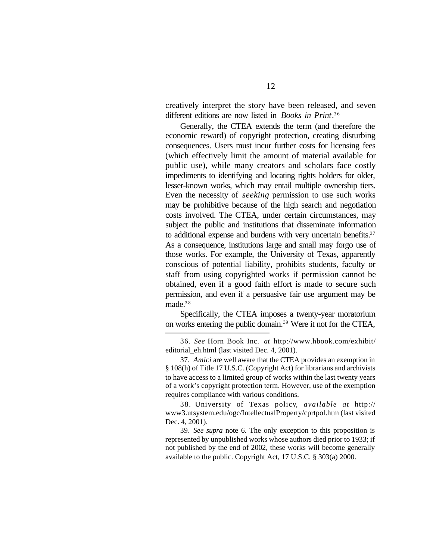creatively interpret the story have been released, and seven different editions are now listed in *Books in Print*.<sup>36</sup>

Generally, the CTEA extends the term (and therefore the economic reward) of copyright protection, creating disturbing consequences. Users must incur further costs for licensing fees (which effectively limit the amount of material available for public use), while many creators and scholars face costly impediments to identifying and locating rights holders for older, lesser-known works, which may entail multiple ownership tiers. Even the necessity of *seeking* permission to use such works may be prohibitive because of the high search and negotiation costs involved. The CTEA, under certain circumstances, may subject the public and institutions that disseminate information to additional expense and burdens with very uncertain benefits.<sup>37</sup> As a consequence, institutions large and small may forgo use of those works. For example, the University of Texas, apparently conscious of potential liability, prohibits students, faculty or staff from using copyrighted works if permission cannot be obtained, even if a good faith effort is made to secure such permission, and even if a persuasive fair use argument may be made.<sup>38</sup>

Specifically, the CTEA imposes a twenty-year moratorium on works entering the public domain.39 Were it not for the CTEA,

36. *See* Horn Book Inc. *at* http://www.hbook.com/exhibit/ editorial\_eh.html (last visited Dec. 4, 2001).

37. *Amici* are well aware that the CTEA provides an exemption in § 108(h) of Title 17 U.S.C. (Copyright Act) for librarians and archivists to have access to a limited group of works within the last twenty years of a work's copyright protection term. However, use of the exemption requires compliance with various conditions.

38. University of Texas policy, *available at* http:// www3.utsystem.edu/ogc/IntellectualProperty/cprtpol.htm (last visited Dec. 4, 2001).

39. *See supra* note 6. The only exception to this proposition is represented by unpublished works whose authors died prior to 1933; if not published by the end of 2002, these works will become generally available to the public. Copyright Act, 17 U.S.C. § 303(a) 2000.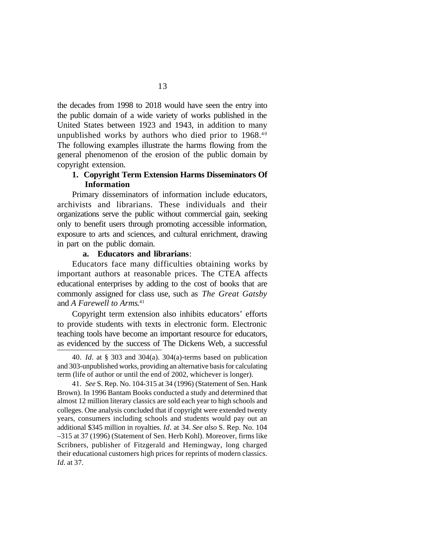the decades from 1998 to 2018 would have seen the entry into the public domain of a wide variety of works published in the United States between 1923 and 1943, in addition to many unpublished works by authors who died prior to  $1968<sup>40</sup>$ The following examples illustrate the harms flowing from the general phenomenon of the erosion of the public domain by copyright extension.

### **1. Copyright Term Extension Harms Disseminators Of Information**

Primary disseminators of information include educators, archivists and librarians. These individuals and their organizations serve the public without commercial gain, seeking only to benefit users through promoting accessible information, exposure to arts and sciences, and cultural enrichment, drawing in part on the public domain.

#### **a. Educators and librarians**:

Educators face many difficulties obtaining works by important authors at reasonable prices. The CTEA affects educational enterprises by adding to the cost of books that are commonly assigned for class use, such as *The Great Gatsby* and *A Farewell to Arms*. 41

Copyright term extension also inhibits educators' efforts to provide students with texts in electronic form. Electronic teaching tools have become an important resource for educators, as evidenced by the success of The Dickens Web, a successful

<sup>40.</sup> *Id.* at § 303 and 304(a). 304(a)-terms based on publication and 303-unpublished works, providing an alternative basis for calculating term (life of author or until the end of 2002, whichever is longer).

<sup>41.</sup> *See* S. Rep. No. 104-315 at 34 (1996) (Statement of Sen. Hank Brown). In 1996 Bantam Books conducted a study and determined that almost 12 million literary classics are sold each year to high schools and colleges. One analysis concluded that if copyright were extended twenty years, consumers including schools and students would pay out an additional \$345 million in royalties. *Id*. at 34. *See also* S. Rep. No. 104 –315 at 37 (1996) (Statement of Sen. Herb Kohl). Moreover, firms like Scribners, publisher of Fitzgerald and Hemingway, long charged their educational customers high prices for reprints of modern classics. *Id*. at 37.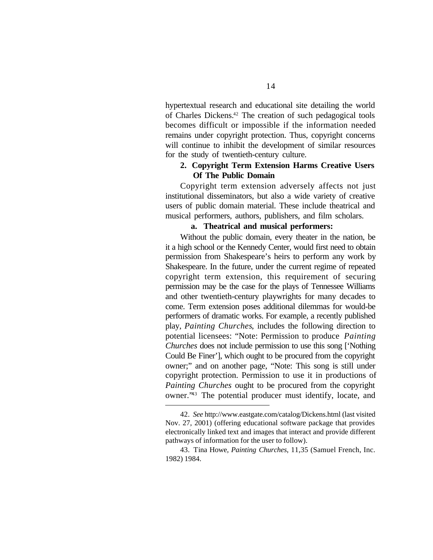hypertextual research and educational site detailing the world of Charles Dickens.42 The creation of such pedagogical tools becomes difficult or impossible if the information needed remains under copyright protection. Thus, copyright concerns will continue to inhibit the development of similar resources for the study of twentieth-century culture.

### **2. Copyright Term Extension Harms Creative Users Of The Public Domain**

Copyright term extension adversely affects not just institutional disseminators, but also a wide variety of creative users of public domain material. These include theatrical and musical performers, authors, publishers, and film scholars.

#### **a. Theatrical and musical performers:**

Without the public domain, every theater in the nation, be it a high school or the Kennedy Center, would first need to obtain permission from Shakespeare's heirs to perform any work by Shakespeare. In the future, under the current regime of repeated copyright term extension, this requirement of securing permission may be the case for the plays of Tennessee Williams and other twentieth-century playwrights for many decades to come. Term extension poses additional dilemmas for would-be performers of dramatic works. For example, a recently published play, *Painting Churches*, includes the following direction to potential licensees: "Note: Permission to produce *Painting Churches* does not include permission to use this song ['Nothing Could Be Finer'], which ought to be procured from the copyright owner;" and on another page, "Note: This song is still under copyright protection. Permission to use it in productions of *Painting Churches* ought to be procured from the copyright owner."43 The potential producer must identify, locate, and

<sup>42.</sup> *See* http://www.eastgate.com/catalog/Dickens.html (last visited Nov. 27, 2001) (offering educational software package that provides electronically linked text and images that interact and provide different pathways of information for the user to follow).

<sup>43.</sup> Tina Howe, *Painting Churches*, 11,35 (Samuel French, Inc. 1982) 1984.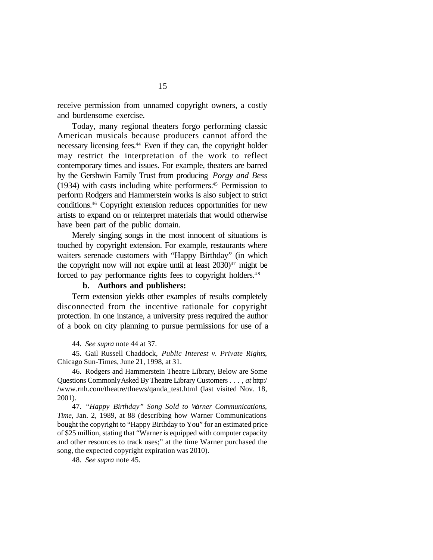receive permission from unnamed copyright owners, a costly and burdensome exercise.

Today, many regional theaters forgo performing classic American musicals because producers cannot afford the necessary licensing fees.44 Even if they can, the copyright holder may restrict the interpretation of the work to reflect contemporary times and issues. For example, theaters are barred by the Gershwin Family Trust from producing *Porgy and Bess* (1934) with casts including white performers.45 Permission to perform Rodgers and Hammerstein works is also subject to strict conditions.46 Copyright extension reduces opportunities for new artists to expand on or reinterpret materials that would otherwise have been part of the public domain.

Merely singing songs in the most innocent of situations is touched by copyright extension. For example, restaurants where waiters serenade customers with "Happy Birthday" (in which the copyright now will not expire until at least  $2030)^{47}$  might be forced to pay performance rights fees to copyright holders.<sup>48</sup>

#### **b. Authors and publishers:**

Term extension yields other examples of results completely disconnected from the incentive rationale for copyright protection. In one instance, a university press required the author of a book on city planning to pursue permissions for use of a

46. Rodgers and Hammerstein Theatre Library, Below are Some Questions Commonly Asked By Theatre Library Customers . . . , *at* http:/ /www.rnh.com/theatre/tlnews/qanda\_test.html (last visited Nov. 18, 2001).

47. *"Happy Birthday" Song Sold to Warner Communications*, *Time*, Jan. 2, 1989, at 88 (describing how Warner Communications bought the copyright to "Happy Birthday to You" for an estimated price of \$25 million, stating that "Warner is equipped with computer capacity and other resources to track uses;" at the time Warner purchased the song, the expected copyright expiration was 2010).

48. *See supra* note 45.

<sup>44.</sup> *See supra* note 44 at 37.

<sup>45.</sup> Gail Russell Chaddock, *Public Interest v. Private Rights*, Chicago Sun-Times, June 21, 1998, at 31.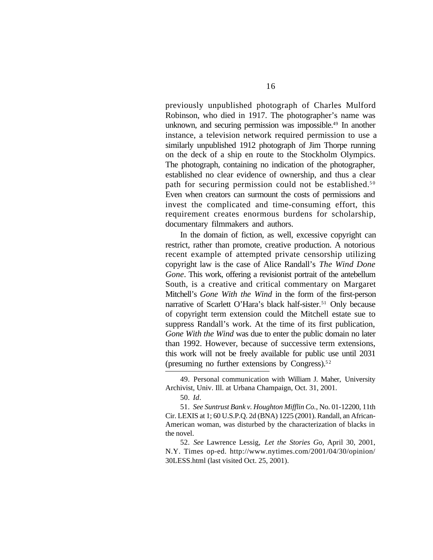previously unpublished photograph of Charles Mulford Robinson, who died in 1917. The photographer's name was unknown, and securing permission was impossible.<sup>49</sup> In another instance, a television network required permission to use a similarly unpublished 1912 photograph of Jim Thorpe running on the deck of a ship en route to the Stockholm Olympics. The photograph, containing no indication of the photographer, established no clear evidence of ownership, and thus a clear path for securing permission could not be established.<sup>50</sup> Even when creators can surmount the costs of permissions and invest the complicated and time-consuming effort, this requirement creates enormous burdens for scholarship, documentary filmmakers and authors.

In the domain of fiction, as well, excessive copyright can restrict, rather than promote, creative production. A notorious recent example of attempted private censorship utilizing copyright law is the case of Alice Randall's *The Wind Done Gone*. This work, offering a revisionist portrait of the antebellum South, is a creative and critical commentary on Margaret Mitchell's *Gone With the Wind* in the form of the first-person narrative of Scarlett O'Hara's black half-sister.<sup>51</sup> Only because of copyright term extension could the Mitchell estate sue to suppress Randall's work. At the time of its first publication, *Gone With the Wind* was due to enter the public domain no later than 1992. However, because of successive term extensions, this work will not be freely available for public use until 2031 (presuming no further extensions by Congress). $52$ 

52. *See* Lawrence Lessig, *Let the Stories Go*, April 30, 2001, N.Y. Times op-ed. http://www.nytimes.com/2001/04/30/opinion/ 30LESS.html (last visited Oct. 25, 2001).

<sup>49.</sup> Personal communication with William J. Maher, University Archivist, Univ. Ill. at Urbana Champaign, Oct. 31, 2001.

<sup>50.</sup> *Id*.

<sup>51.</sup> *See Suntrust Bank v. Houghton Mifflin Co.*, No. 01-12200, 11th Cir. LEXIS at 1; 60 U.S.P.Q. 2d (BNA) 1225 (2001). Randall, an African-American woman, was disturbed by the characterization of blacks in the novel.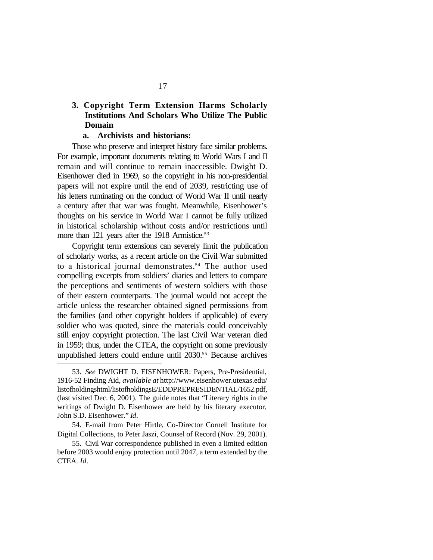### **3. Copyright Term Extension Harms Scholarly Institutions And Scholars Who Utilize The Public Domain**

#### **a. Archivists and historians:**

Those who preserve and interpret history face similar problems. For example, important documents relating to World Wars I and II remain and will continue to remain inaccessible. Dwight D. Eisenhower died in 1969, so the copyright in his non-presidential papers will not expire until the end of 2039, restricting use of his letters ruminating on the conduct of World War II until nearly a century after that war was fought. Meanwhile, Eisenhower's thoughts on his service in World War I cannot be fully utilized in historical scholarship without costs and/or restrictions until more than 121 years after the 1918 Armistice.<sup>53</sup>

Copyright term extensions can severely limit the publication of scholarly works, as a recent article on the Civil War submitted to a historical journal demonstrates.<sup>54</sup> The author used compelling excerpts from soldiers' diaries and letters to compare the perceptions and sentiments of western soldiers with those of their eastern counterparts. The journal would not accept the article unless the researcher obtained signed permissions from the families (and other copyright holders if applicable) of every soldier who was quoted, since the materials could conceivably still enjoy copyright protection. The last Civil War veteran died in 1959; thus, under the CTEA, the copyright on some previously unpublished letters could endure until 2030.<sup>55</sup> Because archives

<sup>53.</sup> *See* DWIGHT D. EISENHOWER: Papers, Pre-Presidential, 1916-52 Finding Aid, *available at* http://www.eisenhower.utexas.edu/ listofholdingshtml/listofholdingsE/EDDPREPRESIDENTIAL/1652.pdf, (last visited Dec. 6, 2001). The guide notes that "Literary rights in the writings of Dwight D. Eisenhower are held by his literary executor, John S.D. Eisenhower." *Id*.

<sup>54.</sup> E-mail from Peter Hirtle, Co-Director Cornell Institute for Digital Collections, to Peter Jaszi, Counsel of Record (Nov. 29, 2001).

<sup>55.</sup> Civil War correspondence published in even a limited edition before 2003 would enjoy protection until 2047, a term extended by the CTEA. *Id*.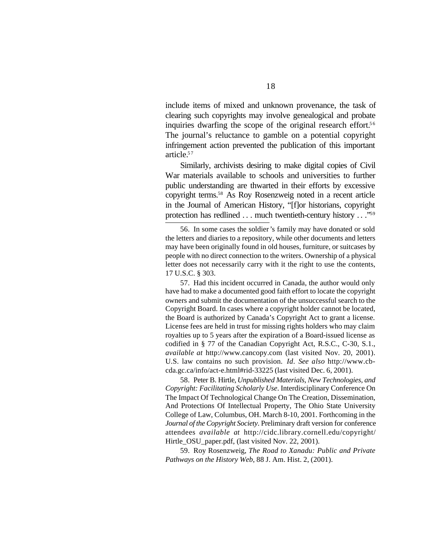include items of mixed and unknown provenance, the task of clearing such copyrights may involve genealogical and probate inquiries dwarfing the scope of the original research effort.<sup>56</sup> The journal's reluctance to gamble on a potential copyright infringement action prevented the publication of this important article.<sup>57</sup>

Similarly, archivists desiring to make digital copies of Civil War materials available to schools and universities to further public understanding are thwarted in their efforts by excessive copyright terms.58 As Roy Rosenzweig noted in a recent article in the Journal of American History, "[f]or historians, copyright protection has redlined . . . much twentieth-century history . . ."<sup>59</sup>

57. Had this incident occurred in Canada, the author would only have had to make a documented good faith effort to locate the copyright owners and submit the documentation of the unsuccessful search to the Copyright Board. In cases where a copyright holder cannot be located, the Board is authorized by Canada's Copyright Act to grant a license. License fees are held in trust for missing rights holders who may claim royalties up to 5 years after the expiration of a Board-issued license as codified in § 77 of the Canadian Copyright Act, R.S.C., C-30, S.1., *available at* http://www.cancopy.com (last visited Nov. 20, 2001). U.S. law contains no such provision. *Id*. *See also* http://www.cbcda.gc.ca/info/act-e.html#rid-33225 (last visited Dec. 6, 2001).

58. Peter B. Hirtle, *Unpublished Materials, New Technologies, and Copyright: Facilitating Scholarly Use*. Interdisciplinary Conference On The Impact Of Technological Change On The Creation, Dissemination, And Protections Of Intellectual Property, The Ohio State University College of Law, Columbus, OH. March 8-10, 2001. Forthcoming in the *Journal of the Copyright Society*. Preliminary draft version for conference attendees *available at* http://cidc.library.cornell.edu/copyright/ Hirtle OSU paper.pdf, (last visited Nov. 22, 2001).

59. Roy Rosenzweig, *The Road to Xanadu: Public and Private Pathways on the History Web*, 88 J. Am. Hist. 2, (2001).

<sup>56.</sup> In some cases the soldier's family may have donated or sold the letters and diaries to a repository, while other documents and letters may have been originally found in old houses, furniture, or suitcases by people with no direct connection to the writers. Ownership of a physical letter does not necessarily carry with it the right to use the contents, 17 U.S.C. § 303.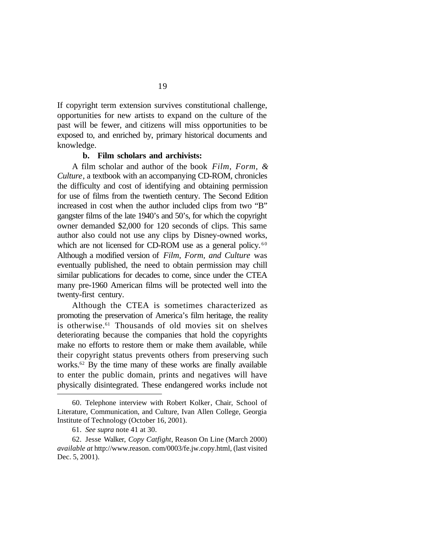If copyright term extension survives constitutional challenge, opportunities for new artists to expand on the culture of the past will be fewer, and citizens will miss opportunities to be exposed to, and enriched by, primary historical documents and knowledge.

#### **b. Film scholars and archivists:**

A film scholar and author of the book *Film, Form, & Culture*, a textbook with an accompanying CD-ROM, chronicles the difficulty and cost of identifying and obtaining permission for use of films from the twentieth century. The Second Edition increased in cost when the author included clips from two "B" gangster films of the late 1940's and 50's, for which the copyright owner demanded \$2,000 for 120 seconds of clips. This same author also could not use any clips by Disney-owned works, which are not licensed for CD-ROM use as a general policy.  $60$ Although a modified version of *Film, Form, and Culture* was eventually published, the need to obtain permission may chill similar publications for decades to come, since under the CTEA many pre-1960 American films will be protected well into the twenty-first century.

Although the CTEA is sometimes characterized as promoting the preservation of America's film heritage, the reality is otherwise.61 Thousands of old movies sit on shelves deteriorating because the companies that hold the copyrights make no efforts to restore them or make them available, while their copyright status prevents others from preserving such works.62 By the time many of these works are finally available to enter the public domain, prints and negatives will have physically disintegrated. These endangered works include not

<sup>60.</sup> Telephone interview with Robert Kolker, Chair, School of Literature, Communication, and Culture, Ivan Allen College, Georgia Institute of Technology (October 16, 2001).

<sup>61.</sup> *See supra* note 41 at 30.

<sup>62.</sup> Jesse Walker, *Copy Catfight*, Reason On Line (March 2000) *available at* http://www.reason. com/0003/fe.jw.copy.html, (last visited Dec. 5, 2001).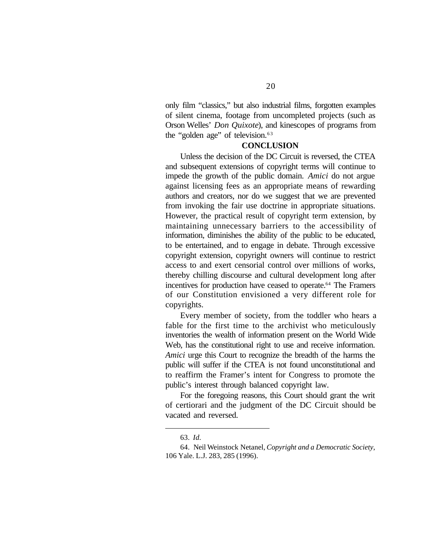only film "classics," but also industrial films, forgotten examples of silent cinema, footage from uncompleted projects (such as Orson Welles' *Don Quixote*), and kinescopes of programs from the "golden age" of television.<sup>63</sup>

#### **CONCLUSION**

Unless the decision of the DC Circuit is reversed, the CTEA and subsequent extensions of copyright terms will continue to impede the growth of the public domain. *Amici* do not argue against licensing fees as an appropriate means of rewarding authors and creators, nor do we suggest that we are prevented from invoking the fair use doctrine in appropriate situations. However, the practical result of copyright term extension, by maintaining unnecessary barriers to the accessibility of information, diminishes the ability of the public to be educated, to be entertained, and to engage in debate. Through excessive copyright extension, copyright owners will continue to restrict access to and exert censorial control over millions of works, thereby chilling discourse and cultural development long after incentives for production have ceased to operate.<sup>64</sup> The Framers of our Constitution envisioned a very different role for copyrights.

Every member of society, from the toddler who hears a fable for the first time to the archivist who meticulously inventories the wealth of information present on the World Wide Web, has the constitutional right to use and receive information. *Amici* urge this Court to recognize the breadth of the harms the public will suffer if the CTEA is not found unconstitutional and to reaffirm the Framer's intent for Congress to promote the public's interest through balanced copyright law.

For the foregoing reasons, this Court should grant the writ of certiorari and the judgment of the DC Circuit should be vacated and reversed.

<sup>63.</sup> *Id.*

<sup>64.</sup> Neil Weinstock Netanel, *Copyright and a Democratic Society*, 106 Yale. L.J. 283, 285 (1996).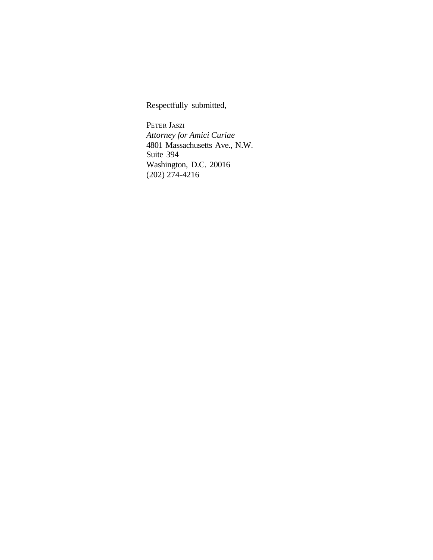Respectfully submitted,

PETER JASZI *Attorney for Amici Curiae* 4801 Massachusetts Ave., N.W. Suite 394 Washington, D.C. 20016 (202) 274-4216